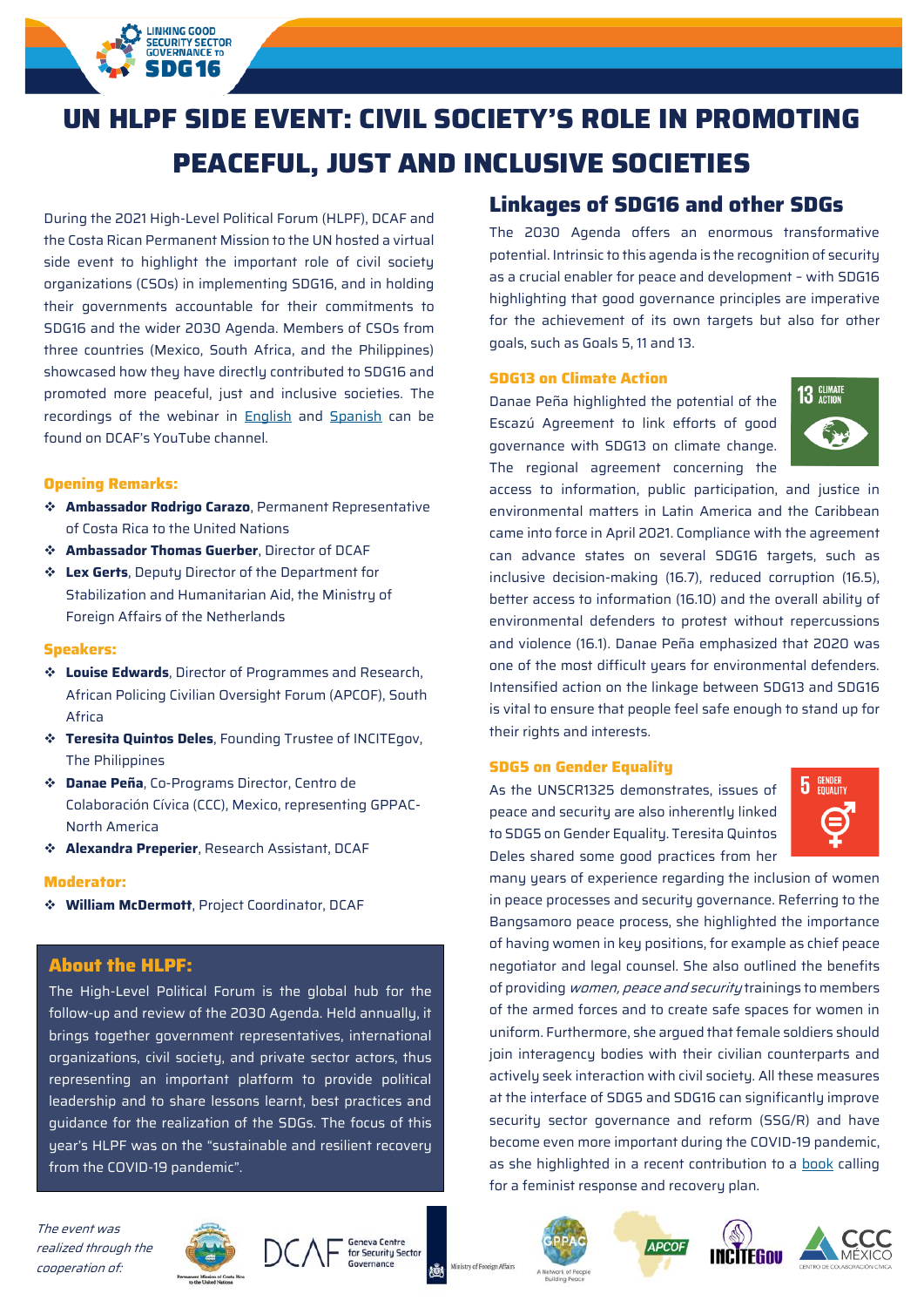# **UN HLPF SIDE EVENT: CIVIL SOCIETY'S ROLE IN PROMOTING PEACEFUL, JUST AND INCLUSIVE SOCIETIES**

During the 2021 High-Level Political Forum (HLPF), DCAF and the Costa Rican Permanent Mission to the UN hosted a virtual side event to highlight the important role of civil society organizations (CSOs) in implementing SDG16, and in holding their governments accountable for their commitments to SDG16 and the wider 2030 Agenda. Members of CSOs from three countries (Mexico, South Africa, and the Philippines) showcased how they have directly contributed to SDG16 and promoted more peaceful, just and inclusive societies. The recordings of the webinar in [English](https://www.youtube.com/watch?v=AmOWv_VUFC4) and [Spanish](https://www.youtube.com/watch?v=toZRjW1EWjw&t=3s) can be found on DCAF's YouTube channel.

**LINKING GOOD SECURITY SECTOR**<br>GOVERNANCE TO DG 16

# **Opening Remarks:**

- ❖ **Ambassador Rodrigo Carazo**, Permanent Representative of Costa Rica to the United Nations
- ❖ **Ambassador Thomas Guerber**, Director of DCAF
- ❖ **Lex Gerts**, Deputy Director of the Department for Stabilization and Humanitarian Aid, the Ministry of Foreign Affairs of the Netherlands

## **Speakers:**

- ❖ **Louise Edwards**, Director of Programmes and Research, African Policing Civilian Oversight Forum (APCOF), South Africa
- ❖ **Teresita Quintos Deles**, Founding Trustee of INCITEgov, The Philippines
- ❖ **Danae Peña**, Co-Programs Director, Centro de Colaboración Cívica (CCC), Mexico, representing GPPAC-North America
- ❖ **Alexandra Preperier**, Research Assistant, DCAF

#### **Moderator:**

❖ **William McDermott**, Project Coordinator, DCAF

# **About the HLPF:**

The High-Level Political Forum is the global hub for the follow-up and review of the 2030 Agenda. Held annually, it brings together government representatives, international organizations, civil society, and private sector actors, thus representing an important platform to provide political leadership and to share lessons learnt, best practices and guidance for the realization of the SDGs. The focus of this year's HLPF was on the "sustainable and resilient recovery from the COVID-19 pandemic".

The event was realized through the cooperation of:





# **Linkages of SDG16 and other SDGs**

The 2030 Agenda offers an enormous transformative potential. Intrinsic to this agenda is the recognition of security as a crucial enabler for peace and development – with SDG16 highlighting that good governance principles are imperative for the achievement of its own targets but also for other goals, such as Goals 5, 11 and 13.

## **SDG13 on Climate Action**

Danae Peña highlighted the potential of the Escazú Agreement to link efforts of good governance with SDG13 on climate change. The regional agreement concerning the



access to information, public participation, and justice in environmental matters in Latin America and the Caribbean came into force in April 2021. Compliance with the agreement can advance states on several SDG16 targets, such as inclusive decision-making (16.7), reduced corruption (16.5), better access to information (16.10) and the overall ability of environmental defenders to protest without repercussions and violence (16.1). Danae Peña emphasized that 2020 was one of the most difficult years for environmental defenders. Intensified action on the linkage between SDG13 and SDG16 is vital to ensure that people feel safe enough to stand up for their rights and interests.

#### **SDG5 on Gender Equality**

As the UNSCR1325 demonstrates, issues of peace and security are also inherently linked to SDG5 on Gender Equality. Teresita Quintos Deles shared some good practices from her



many years of experience regarding the inclusion of women in peace processes and security governance. Referring to the Bangsamoro peace process, she highlighted the importance of having women in key positions, for example as chief peace negotiator and legal counsel. She also outlined the benefits of providing *women, peace and security* trainings to members of the armed forces and to create safe spaces for women in uniform. Furthermore, she argued that female soldiers should join interagency bodies with their civilian counterparts and actively seek interaction with civil society. All these measures at the interface of SDG5 and SDG16 can significantly improve securitu sector governance and reform (SSG/R) and have become even more important during the COVID-19 pandemic, as she highlighted in a recent contribution to a [book](http://incitegov.org.ph/includes/publications/EveryWoman%20Book_FINAL.pdf) calling for a feminist response and recovery plan.



Ministry of Foreign Affair